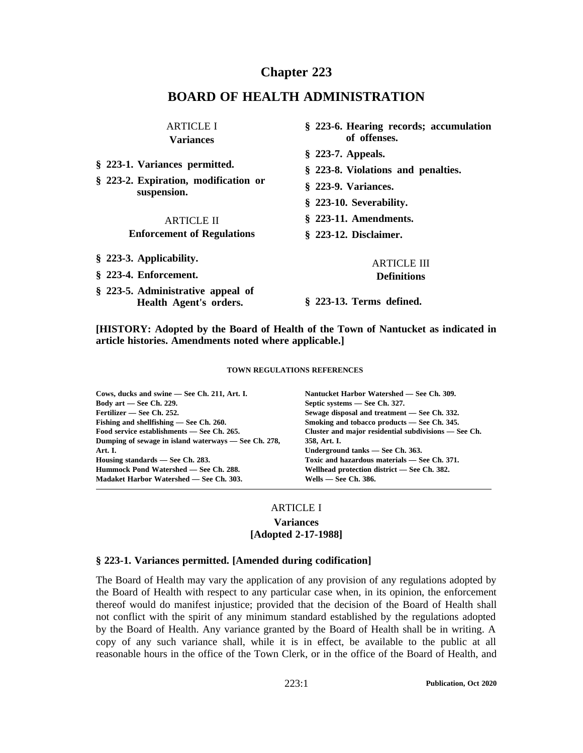# **Chapter 223**

# **BOARD OF HEALTH ADMINISTRATION**

| <b>ARTICLE I</b>                                                                                                                               | § 223-6. Hearing records; accumulation                                                                                                                           |
|------------------------------------------------------------------------------------------------------------------------------------------------|------------------------------------------------------------------------------------------------------------------------------------------------------------------|
| <b>Variances</b>                                                                                                                               | of offenses.                                                                                                                                                     |
| § 223-1. Variances permitted.<br>§ 223-2. Expiration, modification or<br>suspension.<br><b>ARTICLE II</b><br><b>Enforcement of Regulations</b> | $\S$ 223-7. Appeals.<br>§ 223-8. Violations and penalties.<br>§ 223-9. Variances.<br>§ 223-10. Severability.<br>$§$ 223-11. Amendments.<br>§ 223-12. Disclaimer. |
| § 223-3. Applicability.                                                                                                                        | <b>ARTICLE III</b>                                                                                                                                               |
| § 223-4. Enforcement.                                                                                                                          | <b>Definitions</b>                                                                                                                                               |
| § 223-5. Administrative appeal of<br>Health Agent's orders.                                                                                    | § 223-13. Terms defined.                                                                                                                                         |

**[HISTORY: Adopted by the Board of Health of the Town of Nantucket as indicated in article histories. Amendments noted where applicable.]**

#### **TOWN REGULATIONS REFERENCES**

**Cows, ducks and swine — See Ch. 211, Art. I. Body art —See Ch. 229. Fertilizer — See Ch. 252. Fishing and shellfishing — See Ch. 260. Food service establishments — See Ch. 265. Dumping of sewage in island waterways —See Ch. 278, Art. I. Housing standards — See Ch. 283. Hummock Pond Watershed — See Ch. 288. Madaket Harbor Watershed — See Ch. 303.**

**Nantucket Harbor Watershed — See Ch. 309. Septic systems —See Ch. 327. Sewage disposal and treatment —See Ch. 332. Smoking and tobacco products — See Ch. 345. Cluster and major residential subdivisions —See Ch. 358, Art. I. Underground tanks —See Ch. 363. Toxic and hazardous materials — See Ch. 371. Wellhead protection district —See Ch. 382. Wells — See Ch. 386.**

### ARTICLE I

#### **Variances [Adopted 2-17-1988]**

#### **§ 223-1. Variances permitted. [Amended during codification]**

The Board of Health may vary the application of any provision of any regulations adopted by the Board of Health with respec<sup>t</sup> to any particular case when, in its opinion, the enforcement thereof would do manifest injustice; provided that the decision of the Board of Health shall not conflict with the spirit of any minimum standard established by the regulations adopted by the Board of Health. Any variance granted by the Board of Health shall be in writing. A copy of any such variance shall, while it is in effect, be available to the public at all reasonable hours in the office of the Town Clerk, or in the office of the Board of Health, and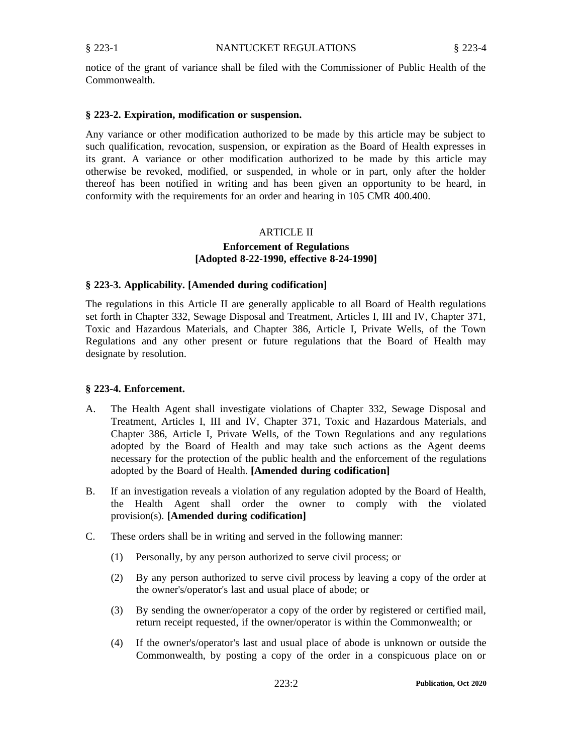notice of the gran<sup>t</sup> of variance shall be filed with the Commissioner of Public Health of the Commonwealth.

#### **§ 223-2. Expiration, modification or suspension.**

Any variance or other modification authorized to be made by this article may be subject to such qualification, revocation, suspension, or expiration as the Board of Health expresses in its grant. A variance or other modification authorized to be made by this article may otherwise be revoked, modified, or suspended, in whole or in part, only after the holder thereof has been notified in writing and has been given an opportunity to be heard, in conformity with the requirements for an order and hearing in 105 CMR 400.400.

#### ARTICLE II

## **Enforcement of Regulations [Adopted 8-22-1990, effective 8-24-1990]**

#### **§ 223-3. Applicability. [Amended during codification]**

The regulations in this Article II are generally applicable to all Board of Health regulations set forth in Chapter 332, Sewage Disposal and Treatment, Articles I, III and IV, Chapter 371, Toxic and Hazardous Materials, and Chapter 386, Article I, Private Wells, of the Town Regulations and any other presen<sup>t</sup> or future regulations that the Board of Health may designate by resolution.

#### **§ 223-4. Enforcement.**

- A. The Health Agent shall investigate violations of Chapter 332, Sewage Disposal and Treatment, Articles I, III and IV, Chapter 371, Toxic and Hazardous Materials, and Chapter 386, Article I, Private Wells, of the Town Regulations and any regulations adopted by the Board of Health and may take such actions as the Agent deems necessary for the protection of the public health and the enforcement of the regulations adopted by the Board of Health. **[Amended during codification]**
- B. If an investigation reveals <sup>a</sup> violation of any regulation adopted by the Board of Health, the Health Agent shall order the owner to comply with the violated provision(s). **[Amended during codification]**
- C. These orders shall be in writing and served in the following manner:
	- (1) Personally, by any person authorized to serve civil process; or
	- (2) By any person authorized to serve civil process by leaving <sup>a</sup> copy of the order at the owner's/operator's last and usual place of abode; or
	- (3) By sending the owner/operator <sup>a</sup> copy of the order by registered or certified mail, return receipt requested, if the owner/operator is within the Commonwealth; or
	- (4) If the owner's/operator's last and usual place of abode is unknown or outside the Commonwealth, by posting <sup>a</sup> copy of the order in <sup>a</sup> conspicuous place on or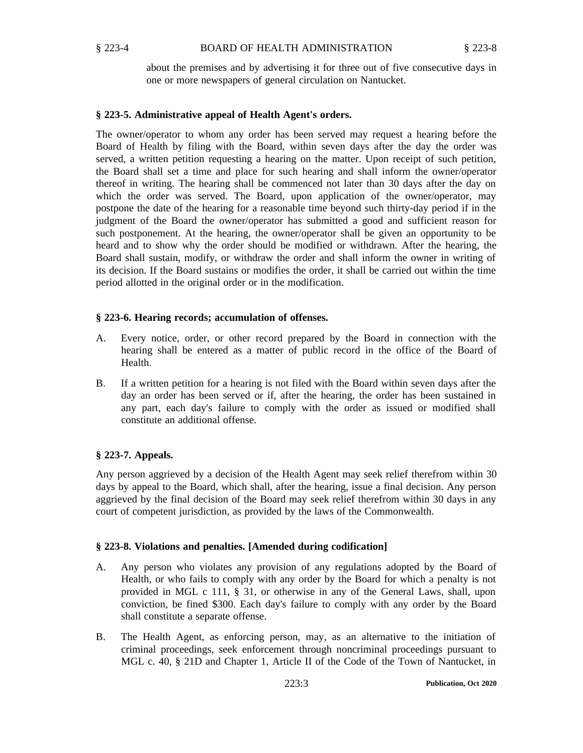about the premises and by advertising it for three out of five consecutive days in one or more newspapers of general circulation on Nantucket.

## **§ 223-5. Administrative appeal of Health Agent's orders.**

The owner/operator to whom any order has been served may reques<sup>t</sup> <sup>a</sup> hearing before the Board of Health by filing with the Board, within seven days after the day the order was served, <sup>a</sup> written petition requesting <sup>a</sup> hearing on the matter. Upon receipt of such petition, the Board shall set <sup>a</sup> time and place for such hearing and shall inform the owner/operator thereof in writing. The hearing shall be commenced not later than 30 days after the day on which the order was served. The Board, upon application of the owner/operator, may postpone the date of the hearing for <sup>a</sup> reasonable time beyond such thirty-day period if in the judgment of the Board the owner/operator has submitted <sup>a</sup> good and sufficient reason for such postponement. At the hearing, the owner/operator shall be given an opportunity to be heard and to show why the order should be modified or withdrawn. After the hearing, the Board shall sustain, modify, or withdraw the order and shall inform the owner in writing of its decision. If the Board sustains or modifies the order, it shall be carried out within the time period allotted in the original order or in the modification.

### **§ 223-6. Hearing records; accumulation of offenses.**

- A. Every notice, order, or other record prepared by the Board in connection with the hearing shall be entered as <sup>a</sup> matter of public record in the office of the Board of Health.
- B. If <sup>a</sup> written petition for <sup>a</sup> hearing is not filed with the Board within seven days after the day an order has been served or if, after the hearing, the order has been sustained in any part, each day's failure to comply with the order as issued or modified shall constitute an additional offense.

## **§ 223-7. Appeals.**

Any person aggrieved by <sup>a</sup> decision of the Health Agent may seek relief therefrom within 30 days by appeal to the Board, which shall, after the hearing, issue <sup>a</sup> final decision. Any person aggrieved by the final decision of the Board may seek relief therefrom within 30 days in any court of competent jurisdiction, as provided by the laws of the Commonwealth.

## **§ 223-8. Violations and penalties. [Amended during codification]**

- A. Any person who violates any provision of any regulations adopted by the Board of Health, or who fails to comply with any order by the Board for which <sup>a</sup> penalty is not provided in MGL <sup>c</sup> 111, § 31, or otherwise in any of the General Laws, shall, upon conviction, be fined \$300. Each day's failure to comply with any order by the Board shall constitute <sup>a</sup> separate offense.
- B. The Health Agent, as enforcing person, may, as an alternative to the initiation of criminal proceedings, seek enforcement through noncriminal proceedings pursuan<sup>t</sup> to MGL c. 40, § 21D and Chapter 1, Article II of the Code of the Town of Nantucket, in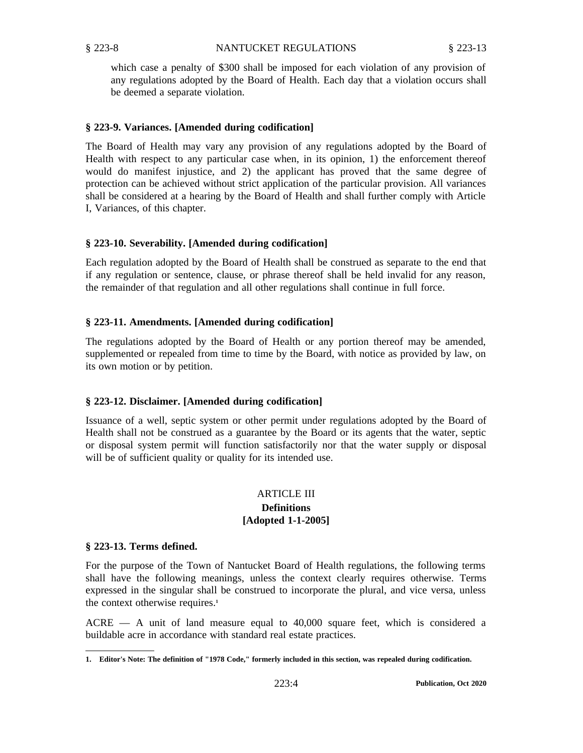which case <sup>a</sup> penalty of \$300 shall be imposed for each violation of any provision of any regulations adopted by the Board of Health. Each day that <sup>a</sup> violation occurs shall be deemed <sup>a</sup> separate violation.

#### **§ 223-9. Variances. [Amended during codification]**

The Board of Health may vary any provision of any regulations adopted by the Board of Health with respec<sup>t</sup> to any particular case when, in its opinion, 1) the enforcement thereof would do manifest injustice, and 2) the applicant has proved that the same degree of protection can be achieved without strict application of the particular provision. All variances shall be considered at <sup>a</sup> hearing by the Board of Health and shall further comply with Article I, Variances, of this chapter.

### **§ 223-10. Severability. [Amended during codification]**

Each regulation adopted by the Board of Health shall be construed as separate to the end that if any regulation or sentence, clause, or phrase thereof shall be held invalid for any reason, the remainder of that regulation and all other regulations shall continue in full force.

### **§ 223-11. Amendments. [Amended during codification]**

The regulations adopted by the Board of Health or any portion thereof may be amended, supplemented or repealed from time to time by the Board, with notice as provided by law, on its own motion or by petition.

## **§ 223-12. Disclaimer. [Amended during codification]**

Issuance of <sup>a</sup> well, septic system or other permit under regulations adopted by the Board of Health shall not be construed as <sup>a</sup> guarantee by the Board or its agents that the water, septic or disposal system permit will function satisfactorily nor that the water supply or disposal will be of sufficient quality or quality for its intended use.

### **ARTICLE III Definitions**

## **[Adopted 1-1-2005]**

#### **§ 223-13. Terms defined.**

For the purpose of the Town of Nantucket Board of Health regulations, the following terms shall have the following meanings, unless the context clearly requires otherwise. Terms expressed in the singular shall be construed to incorporate the plural, and vice versa, unless the context otherwise requires. **1**

ACRE — A unit of land measure equal to 40,000 square feet, which is considered <sup>a</sup> buildable acre in accordance with standard real estate practices.

<sup>1.</sup> Editor's Note: The definition of "1978 Code," formerly included in this section, was repealed during codification.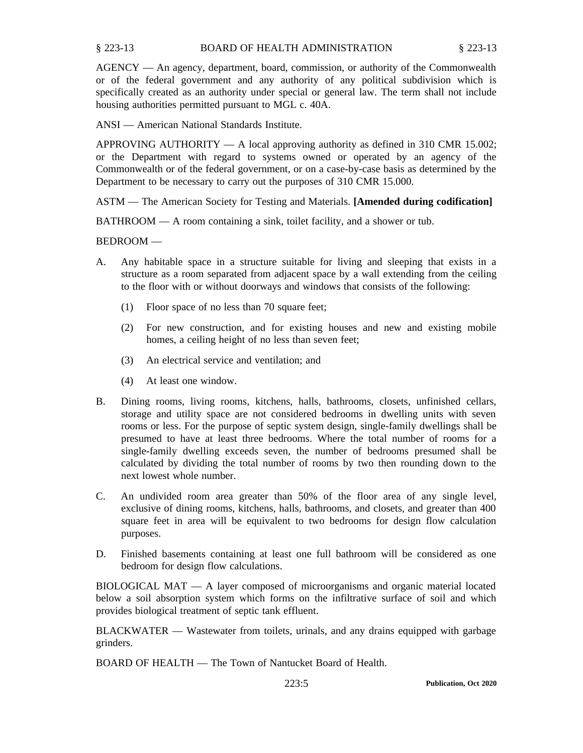AGENCY — An agency, department, board, commission, or authority of the Commonwealth or of the federal governmen<sup>t</sup> and any authority of any political subdivision which is specifically created as an authority under special or general law. The term shall not include housing authorities permitted pursuan<sup>t</sup> to MGL c. 40A.

ANSI —American National Standards Institute.

APPROVING AUTHORITY  $- A$  local approving authority as defined in 310 CMR 15.002; or the Department with regard to systems owned or operated by an agency of the Commonwealth or of the federal government, or on <sup>a</sup> case-by-case basis as determined by the Department to be necessary to carry out the purposes of 310 CMR 15.000.

ASTM — The American Society for Testing and Materials. **[Amended during codification]**

BATHROOM — A room containing <sup>a</sup> sink, toilet facility, and <sup>a</sup> shower or tub.

BEDROOM —

- A. Any habitable space in <sup>a</sup> structure suitable for living and sleeping that exists in <sup>a</sup> structure as <sup>a</sup> room separated from adjacent space by <sup>a</sup> wall extending from the ceiling to the floor with or without doorways and windows that consists of the following:
	- (1) Floor space of no less than 70 square feet;
	- (2) For new construction, and for existing houses and new and existing mobile homes, <sup>a</sup> ceiling height of no less than seven feet;
	- (3) An electrical service and ventilation; and
	- (4) At least one window.
- B. Dining rooms, living rooms, kitchens, halls, bathrooms, closets, unfinished cellars, storage and utility space are not considered bedrooms in dwelling units with seven rooms or less. For the purpose of septic system design, single-family dwellings shall be presumed to have at least three bedrooms. Where the total number of rooms for <sup>a</sup> single-family dwelling exceeds seven, the number of bedrooms presumed shall be calculated by dividing the total number of rooms by two then rounding down to the next lowest whole number.
- C. An undivided room area greater than 50% of the floor area of any single level, exclusive of dining rooms, kitchens, halls, bathrooms, and closets, and greater than 400 square feet in area will be equivalent to two bedrooms for design flow calculation purposes.
- D. Finished basements containing at least one full bathroom will be considered as one bedroom for design flow calculations.

BIOLOGICAL MAT — A layer composed of microorganisms and organic material located below <sup>a</sup> soil absorption system which forms on the infiltrative surface of soil and which provides biological treatment of septic tank effluent.

BLACKWATER — Wastewater from toilets, urinals, and any drains equipped with garbage grinders.

BOARD OF HEALTH — The Town of Nantucket Board of Health.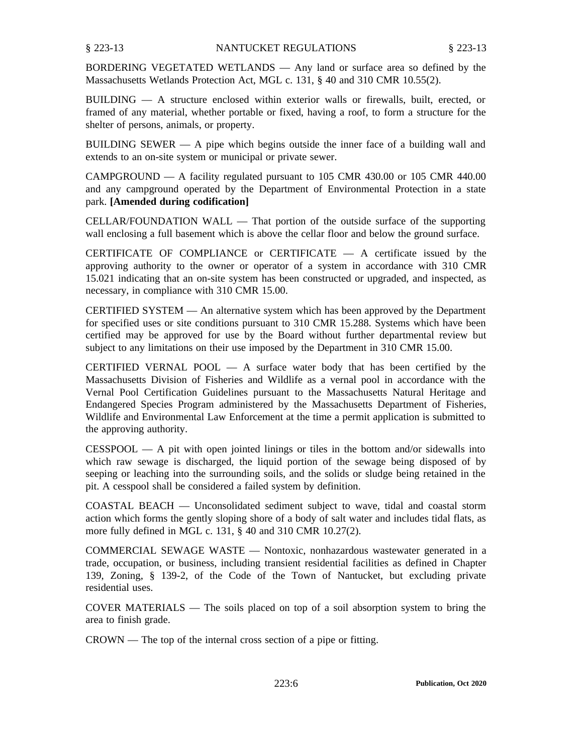BORDERING VEGETATED WETLANDS — Any land or surface area so defined by the Massachusetts Wetlands Protection Act, MGL c. 131, § 40 and 310 CMR 10.55(2).

BUILDING — A structure enclosed within exterior walls or firewalls, built, erected, or framed of any material, whether portable or fixed, having <sup>a</sup> roof, to form <sup>a</sup> structure for the shelter of persons, animals, or property.

BUILDING SEWER — A pipe which begins outside the inner face of <sup>a</sup> building wall and extends to an on-site system or municipal or private sewer.

CAMPGROUND — A facility regulated pursuan<sup>t</sup> to 105 CMR 430.00 or 105 CMR 440.00 and any campground operated by the Department of Environmental Protection in <sup>a</sup> state park. **[Amended during codification]**

CELLAR/FOUNDATION WALL — That portion of the outside surface of the supporting wall enclosing <sup>a</sup> full basement which is above the cellar floor and below the ground surface.

CERTIFICATE OF COMPLIANCE or CERTIFICATE  $-$  A certificate issued by the approving authority to the owner or operator of <sup>a</sup> system in accordance with 310 CMR 15.021 indicating that an on-site system has been constructed or upgraded, and inspected, as necessary, in compliance with 310 CMR 15.00.

CERTIFIED SYSTEM — An alternative system which has been approved by the Department for specified uses or site conditions pursuan<sup>t</sup> to 310 CMR 15.288. Systems which have been certified may be approved for use by the Board without further departmental review but subject to any limitations on their use imposed by the Department in 310 CMR 15.00.

CERTIFIED VERNAL POOL  $-$  A surface water body that has been certified by the Massachusetts Division of Fisheries and Wildlife as <sup>a</sup> vernal pool in accordance with the Vernal Pool Certification Guidelines pursuan<sup>t</sup> to the Massachusetts Natural Heritage and Endangered Species Program administered by the Massachusetts Department of Fisheries, Wildlife and Environmental Law Enforcement at the time <sup>a</sup> permit application is submitted to the approving authority.

 $CESSPOOL$  — A pit with open jointed linings or tiles in the bottom and/or sidewalls into which raw sewage is discharged, the liquid portion of the sewage being disposed of by seeping or leaching into the surrounding soils, and the solids or sludge being retained in the pit. A cesspool shall be considered <sup>a</sup> failed system by definition.

COASTAL BEACH — Unconsolidated sediment subject to wave, tidal and coastal storm action which forms the gently sloping shore of <sup>a</sup> body of salt water and includes tidal flats, as more fully defined in MGL c. 131, § 40 and 310 CMR 10.27(2).

COMMERCIAL SEWAGE WASTE — Nontoxic, nonhazardous wastewater generated in <sup>a</sup> trade, occupation, or business, including transient residential facilities as defined in Chapter 139, Zoning, § 139-2, of the Code of the Town of Nantucket, but excluding private residential uses.

COVER MATERIALS — The soils placed on top of <sup>a</sup> soil absorption system to bring the area to finish grade.

CROWN — The top of the internal cross section of <sup>a</sup> pipe or fitting.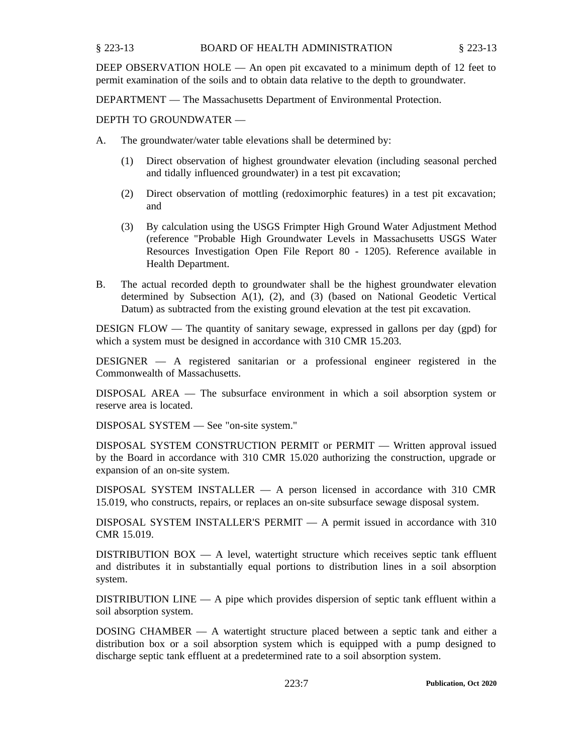### BOARD OF HEALTH ADMINISTRATION § 223-13 § 223-13

DEEP OBSERVATION HOLE — An open pit excavated to <sup>a</sup> minimum depth of 12 feet to permit examination of the soils and to obtain data relative to the depth to groundwater.

DEPARTMENT — The Massachusetts Department of Environmental Protection.

# DEPTH TO GROUNDWATER —

- A. The groundwater/water table elevations shall be determined by:
	- (1) Direct observation of highest groundwater elevation (including seasonal perched and tidally influenced groundwater) in <sup>a</sup> test pit excavation;
	- (2) Direct observation of mottling (redoximorphic features) in <sup>a</sup> test pit excavation; and
	- (3) By calculation using the USGS Frimpter High Ground Water Adjustment Method (reference "Probable High Groundwater Levels in Massachusetts USGS Water Resources Investigation Open File Report 80 - 1205). Reference available in Health Department.
- B. The actual recorded depth to groundwater shall be the highest groundwater elevation determined by Subsection A(1), (2), and (3) (based on National Geodetic Vertical Datum) as subtracted from the existing ground elevation at the test pit excavation.

DESIGN FLOW — The quantity of sanitary sewage, expressed in gallons per day (gpd) for which a system must be designed in accordance with 310 CMR 15.203.

DESIGNER — A registered sanitarian or <sup>a</sup> professional engineer registered in the Commonwealth of Massachusetts.

DISPOSAL AREA — The subsurface environment in which <sup>a</sup> soil absorption system or reserve area is located.

DISPOSAL SYSTEM — See "on-site system."

DISPOSAL SYSTEM CONSTRUCTION PERMIT or PERMIT — Written approval issued by the Board in accordance with 310 CMR 15.020 authorizing the construction, upgrade or expansion of an on-site system.

DISPOSAL SYSTEM INSTALLER — A person licensed in accordance with 310 CMR 15.019, who constructs, repairs, or replaces an on-site subsurface sewage disposal system.

DISPOSAL SYSTEM INSTALLER'S PERMIT — A permit issued in accordance with 310 CMR 15.019.

DISTRIBUTION BOX — A level, watertight structure which receives septic tank effluent and distributes it in substantially equal portions to distribution lines in <sup>a</sup> soil absorption system.

DISTRIBUTION LINE — A pipe which provides dispersion of septic tank effluent within <sup>a</sup> soil absorption system.

DOSING CHAMBER — A watertight structure placed between <sup>a</sup> septic tank and either <sup>a</sup> distribution box or <sup>a</sup> soil absorption system which is equipped with <sup>a</sup> pump designed to discharge septic tank effluent at <sup>a</sup> predetermined rate to <sup>a</sup> soil absorption system.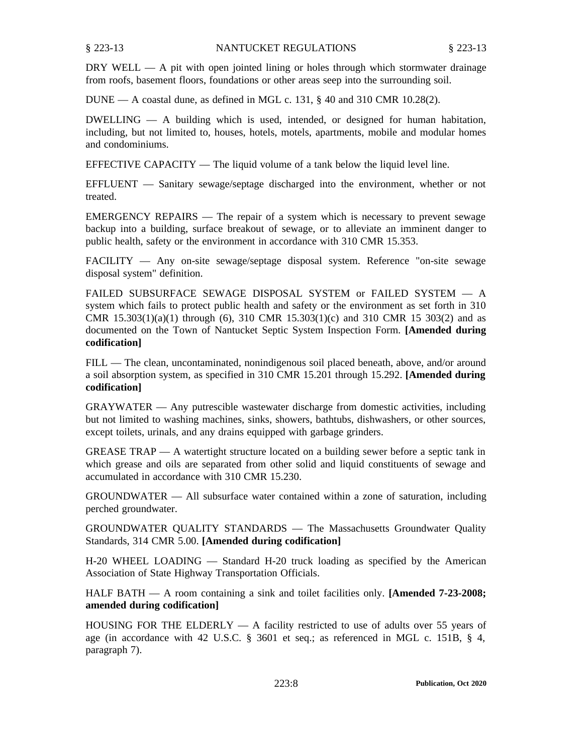DRY WELL — A pit with open jointed lining or holes through which stormwater drainage from roofs, basement floors, foundations or other areas seep into the surrounding soil.

 $DUNE - A coastal dune, as defined in MGL c. 131, § 40 and 310 CMR 10.28(2).$ 

 $DWELLING - A$  building which is used, intended, or designed for human habitation, including, but not limited to, houses, hotels, motels, apartments, mobile and modular homes and condominiums.

EFFECTIVE CAPACITY — The liquid volume of <sup>a</sup> tank below the liquid level line.

EFFLUENT — Sanitary sewage/septage discharged into the environment, whether or not treated.

EMERGENCY REPAIRS — The repair of <sup>a</sup> system which is necessary to preven<sup>t</sup> sewage backup into <sup>a</sup> building, surface breakout of sewage, or to alleviate an imminent danger to public health, safety or the environment in accordance with 310 CMR 15.353.

FACILITY — Any on-site sewage/septage disposal system. Reference "on-site sewage disposal system" definition.

FAILED SUBSURFACE SEWAGE DISPOSAL SYSTEM or FAILED SYSTEM — A system which fails to protect public health and safety or the environment as set forth in 310 CMR  $15.303(1)(a)(1)$  through (6), 310 CMR  $15.303(1)(c)$  and 310 CMR 15 303(2) and as documented on the Town of Nantucket Septic System Inspection Form. **[Amended during codification]**

FILL — The clean, uncontaminated, nonindigenous soil placed beneath, above, and/or around <sup>a</sup> soil absorption system, as specified in 310 CMR 15.201 through 15.292. **[Amended during codification]**

GRAYWATER — Any putrescible wastewater discharge from domestic activities, including but not limited to washing machines, sinks, showers, bathtubs, dishwashers, or other sources, excep<sup>t</sup> toilets, urinals, and any drains equipped with garbage grinders.

GREASE TRAP — A watertight structure located on <sup>a</sup> building sewer before <sup>a</sup> septic tank in which grease and oils are separated from other solid and liquid constituents of sewage and accumulated in accordance with 310 CMR 15.230.

GROUNDWATER — All subsurface water contained within <sup>a</sup> zone of saturation, including perched groundwater.

GROUNDWATER QUALITY STANDARDS — The Massachusetts Groundwater Quality Standards, 314 CMR 5.00. **[Amended during codification]**

H-20 WHEEL LOADING — Standard H-20 truck loading as specified by the American Association of State Highway Transportation Officials.

HALF BATH — A room containing <sup>a</sup> sink and toilet facilities only. **[Amended 7-23-2008; amended during codification]**

HOUSING FOR THE ELDERLY  $-$  A facility restricted to use of adults over 55 years of age (in accordance with 42 U.S.C. § 3601 et seq.; as referenced in MGL c. 151B, § 4, paragraph 7).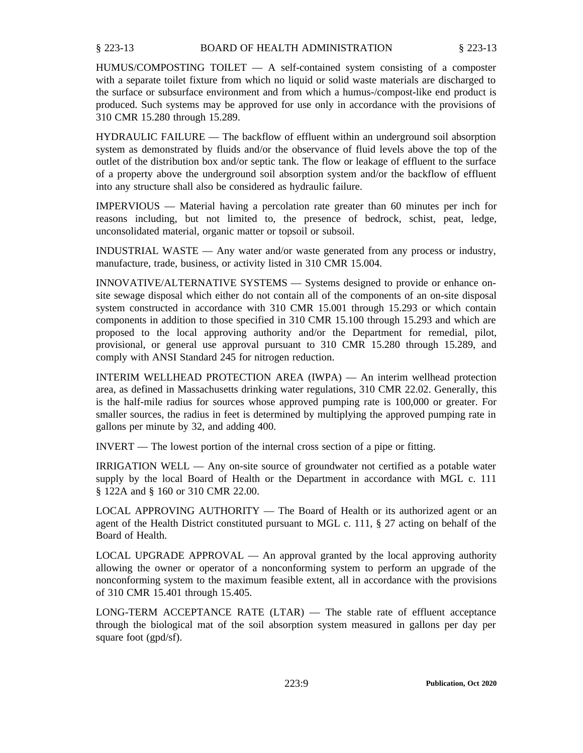### BOARD OF HEALTH ADMINISTRATION § 223-13 § 223-13

 $HUMUS/COMPOSITIONG$  TOILET  $- A$  self-contained system consisting of a composter with <sup>a</sup> separate toilet fixture from which no liquid or solid waste materials are discharged to the surface or subsurface environment and from which <sup>a</sup> humus-/compost-like end product is produced. Such systems may be approved for use only in accordance with the provisions of 310 CMR 15.280 through 15.289.

HYDRAULIC FAILURE — The backflow of effluent within an underground soil absorption system as demonstrated by fluids and/or the observance of fluid levels above the top of the outlet of the distribution box and/or septic tank. The flow or leakage of effluent to the surface of <sup>a</sup> property above the underground soil absorption system and/or the backflow of effluent into any structure shall also be considered as hydraulic failure.

IMPERVIOUS — Material having <sup>a</sup> percolation rate greater than 60 minutes per inch for reasons including, but not limited to, the presence of bedrock, schist, peat, ledge, unconsolidated material, organic matter or topsoil or subsoil.

INDUSTRIAL WASTE — Any water and/or waste generated from any process or industry, manufacture, trade, business, or activity listed in 310 CMR 15.004.

INNOVATIVE/ALTERNATIVE SYSTEMS — Systems designed to provide or enhance onsite sewage disposal which either do not contain all of the components of an on-site disposal system constructed in accordance with 310 CMR 15.001 through 15.293 or which contain components in addition to those specified in 310 CMR 15.100 through 15.293 and which are proposed to the local approving authority and/or the Department for remedial, pilot, provisional, or general use approval pursuan<sup>t</sup> to 310 CMR 15.280 through 15.289, and comply with ANSI Standard 245 for nitrogen reduction.

INTERIM WELLHEAD PROTECTION AREA (IWPA) — An interim wellhead protection area, as defined in Massachusetts drinking water regulations, 310 CMR 22.02. Generally, this is the half-mile radius for sources whose approved pumping rate is 100,000 or greater. For smaller sources, the radius in feet is determined by multiplying the approved pumping rate in gallons per minute by 32, and adding 400.

INVERT — The lowest portion of the internal cross section of <sup>a</sup> pipe or fitting.

IRRIGATION WELL — Any on-site source of groundwater not certified as <sup>a</sup> potable water supply by the local Board of Health or the Department in accordance with MGL c. 111 § 122A and § 160 or 310 CMR 22.00.

LOCAL APPROVING AUTHORITY — The Board of Health or its authorized agen<sup>t</sup> or an agen<sup>t</sup> of the Health District constituted pursuan<sup>t</sup> to MGL c. 111, § 27 acting on behalf of the Board of Health.

LOCAL UPGRADE APPROVAL — An approval granted by the local approving authority allowing the owner or operator of <sup>a</sup> nonconforming system to perform an upgrade of the nonconforming system to the maximum feasible extent, all in accordance with the provisions of 310 CMR 15.401 through 15.405.

LONG-TERM ACCEPTANCE RATE (LTAR) — The stable rate of effluent acceptance through the biological mat of the soil absorption system measured in gallons per day per square foot (gpd/sf).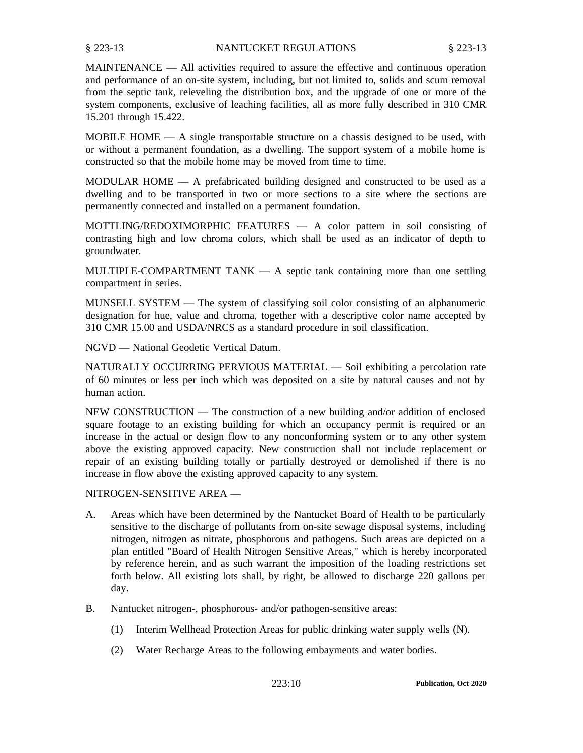MAINTENANCE — All activities required to assure the effective and continuous operation and performance of an on-site system, including, but not limited to, solids and scum removal from the septic tank, releveling the distribution box, and the upgrade of one or more of the system components, exclusive of leaching facilities, all as more fully described in 310 CMR 15.201 through 15.422.

MOBILE HOME  $- A$  single transportable structure on a chassis designed to be used, with or without <sup>a</sup> permanen<sup>t</sup> foundation, as <sup>a</sup> dwelling. The suppor<sup>t</sup> system of <sup>a</sup> mobile home is constructed so that the mobile home may be moved from time to time.

MODULAR HOME  $-$  A prefabricated building designed and constructed to be used as a dwelling and to be transported in two or more sections to <sup>a</sup> site where the sections are permanently connected and installed on <sup>a</sup> permanen<sup>t</sup> foundation.

MOTTLING/REDOXIMORPHIC FEATURES — A color pattern in soil consisting of contrasting high and low chroma colors, which shall be used as an indicator of depth to groundwater.

MULTIPLE-COMPARTMENT TANK — A septic tank containing more than one settling compartment in series.

MUNSELL SYSTEM — The system of classifying soil color consisting of an alphanumeric designation for hue, value and chroma, together with <sup>a</sup> descriptive color name accepted by 310 CMR 15.00 and USDA/NRCS as <sup>a</sup> standard procedure in soil classification.

NGVD — National Geodetic Vertical Datum.

NATURALLY OCCURRING PERVIOUS MATERIAL — Soil exhibiting <sup>a</sup> percolation rate of 60 minutes or less per inch which was deposited on <sup>a</sup> site by natural causes and not by human action.

NEW CONSTRUCTION — The construction of <sup>a</sup> new building and/or addition of enclosed square footage to an existing building for which an occupancy permit is required or an increase in the actual or design flow to any nonconforming system or to any other system above the existing approved capacity. New construction shall not include replacement or repair of an existing building totally or partially destroyed or demolished if there is no increase in flow above the existing approved capacity to any system.

## NITROGEN-SENSITIVE AREA —

- A. Areas which have been determined by the Nantucket Board of Health to be particularly sensitive to the discharge of pollutants from on-site sewage disposal systems, including nitrogen, nitrogen as nitrate, phosphorous and pathogens. Such areas are depicted on <sup>a</sup> plan entitled "Board of Health Nitrogen Sensitive Areas," which is hereby incorporated by reference herein, and as such warrant the imposition of the loading restrictions set forth below. All existing lots shall, by right, be allowed to discharge 220 gallons per day.
- B. Nantucket nitrogen-, phosphorous- and/or pathogen-sensitive areas:
	- (1) Interim Wellhead Protection Areas for public drinking water supply wells (N).
	- (2) Water Recharge Areas to the following embayments and water bodies.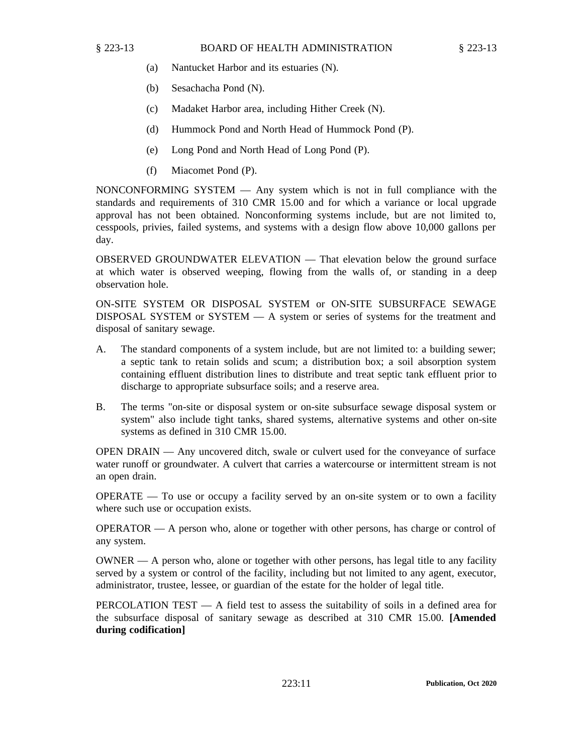- (a) Nantucket Harbor and its estuaries (N).
- (b) Sesachacha Pond (N).
- (c) Madaket Harbor area, including Hither Creek (N).
- (d) Hummock Pond and North Head of Hummock Pond (P).
- (e) Long Pond and North Head of Long Pond (P).
- (f) Miacomet Pond (P).

NONCONFORMING SYSTEM — Any system which is not in full compliance with the standards and requirements of 310 CMR 15.00 and for which <sup>a</sup> variance or local upgrade approval has not been obtained. Nonconforming systems include, but are not limited to, cesspools, privies, failed systems, and systems with <sup>a</sup> design flow above 10,000 gallons per day.

OBSERVED GROUNDWATER ELEVATION — That elevation below the ground surface at which water is observed weeping, flowing from the walls of, or standing in <sup>a</sup> deep observation hole.

ON-SITE SYSTEM OR DISPOSAL SYSTEM or ON-SITE SUBSURFACE SEWAGE DISPOSAL SYSTEM or SYSTEM  $- A$  system or series of systems for the treatment and disposal of sanitary sewage.

- A. The standard components of <sup>a</sup> system include, but are not limited to: <sup>a</sup> building sewer; <sup>a</sup> septic tank to retain solids and scum; <sup>a</sup> distribution box; <sup>a</sup> soil absorption system containing effluent distribution lines to distribute and treat septic tank effluent prior to discharge to appropriate subsurface soils; and <sup>a</sup> reserve area.
- B. The terms "on-site or disposal system or on-site subsurface sewage disposal system or system" also include tight tanks, shared systems, alternative systems and other on-site systems as defined in 310 CMR 15.00.

OPEN DRAIN — Any uncovered ditch, swale or culvert used for the conveyance of surface water runoff or groundwater. A culvert that carries <sup>a</sup> watercourse or intermittent stream is not an open drain.

 $OPERATE$  — To use or occupy a facility served by an on-site system or to own a facility where such use or occupation exists.

OPERATOR — A person who, alone or together with other persons, has charge or control of any system.

OWNER — A person who, alone or together with other persons, has legal title to any facility served by <sup>a</sup> system or control of the facility, including but not limited to any agent, executor, administrator, trustee, lessee, or guardian of the estate for the holder of legal title.

PERCOLATION TEST — A field test to assess the suitability of soils in <sup>a</sup> defined area for the subsurface disposal of sanitary sewage as described at 310 CMR 15.00. **[Amended during codification]**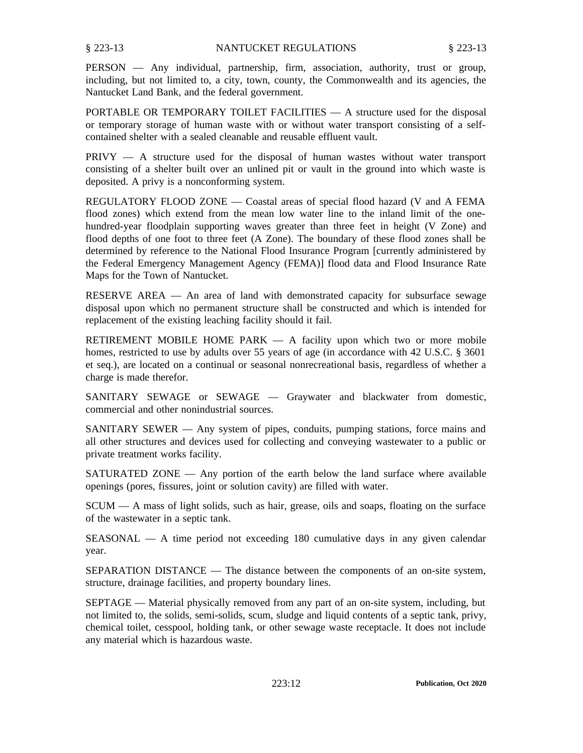PERSON — Any individual, partnership, firm, association, authority, trust or group, including, but not limited to, <sup>a</sup> city, town, county, the Commonwealth and its agencies, the Nantucket Land Bank, and the federal government.

PORTABLE OR TEMPORARY TOILET FACILITIES — A structure used for the disposal or temporary storage of human waste with or without water transport consisting of <sup>a</sup> selfcontained shelter with <sup>a</sup> sealed cleanable and reusable effluent vault.

PRIVY — A structure used for the disposal of human wastes without water transport consisting of <sup>a</sup> shelter built over an unlined pit or vault in the ground into which waste is deposited. A privy is <sup>a</sup> nonconforming system.

REGULATORY FLOOD ZONE — Coastal areas of special flood hazard (V and A FEMA flood zones) which extend from the mean low water line to the inland limit of the onehundred-year floodplain supporting waves greater than three feet in height (V Zone) and flood depths of one foot to three feet (A Zone). The boundary of these flood zones shall be determined by reference to the National Flood Insurance Program [currently administered by the Federal Emergency Management Agency (FEMA)] flood data and Flood Insurance Rate Maps for the Town of Nantucket.

RESERVE AREA — An area of land with demonstrated capacity for subsurface sewage disposal upon which no permanen<sup>t</sup> structure shall be constructed and which is intended for replacement of the existing leaching facility should it fail.

RETIREMENT MOBILE HOME PARK — A facility upon which two or more mobile homes, restricted to use by adults over 55 years of age (in accordance with 42 U.S.C. § 3601 et seq.), are located on <sup>a</sup> continual or seasonal nonrecreational basis, regardless of whether <sup>a</sup> charge is made therefor.

SANITARY SEWAGE or SEWAGE — Graywater and blackwater from domestic, commercial and other nonindustrial sources.

SANITARY SEWER — Any system of pipes, conduits, pumping stations, force mains and all other structures and devices used for collecting and conveying wastewater to <sup>a</sup> public or private treatment works facility.

SATURATED ZONE — Any portion of the earth below the land surface where available openings (pores, fissures, joint or solution cavity) are filled with water.

SCUM — A mass of light solids, such as hair, grease, oils and soaps, floating on the surface of the wastewater in <sup>a</sup> septic tank.

SEASONAL — A time period not exceeding 180 cumulative days in any given calendar year.

SEPARATION DISTANCE — The distance between the components of an on-site system, structure, drainage facilities, and property boundary lines.

SEPTAGE — Material physically removed from any par<sup>t</sup> of an on-site system, including, but not limited to, the solids, semi-solids, scum, sludge and liquid contents of <sup>a</sup> septic tank, privy, chemical toilet, cesspool, holding tank, or other sewage waste receptacle. It does not include any material which is hazardous waste.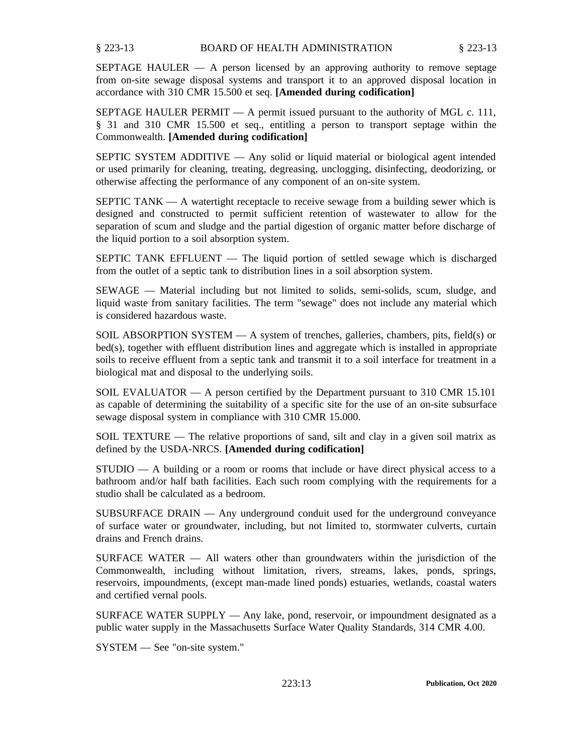BOARD OF HEALTH ADMINISTRATION § 223-13 § 223-13

SEPTAGE HAULER — A person licensed by an approving authority to remove septage from on-site sewage disposal systems and transport it to an approved disposal location in accordance with 310 CMR 15.500 et seq. **[Amended during codification]**

SEPTAGE HAULER PERMIT — A permit issued pursuan<sup>t</sup> to the authority of MGL c. 111, § 31 and 310 CMR 15.500 et seq., entitling <sup>a</sup> person to transport septage within the Commonwealth. **[Amended during codification]**

SEPTIC SYSTEM ADDITIVE — Any solid or liquid material or biological agen<sup>t</sup> intended or used primarily for cleaning, treating, degreasing, unclogging, disinfecting, deodorizing, or otherwise affecting the performance of any componen<sup>t</sup> of an on-site system.

SEPTIC TANK — A watertight receptacle to receive sewage from <sup>a</sup> building sewer which is designed and constructed to permit sufficient retention of wastewater to allow for the separation of scum and sludge and the partial digestion of organic matter before discharge of the liquid portion to <sup>a</sup> soil absorption system.

SEPTIC TANK EFFLUENT — The liquid portion of settled sewage which is discharged from the outlet of <sup>a</sup> septic tank to distribution lines in <sup>a</sup> soil absorption system.

SEWAGE — Material including but not limited to solids, semi-solids, scum, sludge, and liquid waste from sanitary facilities. The term "sewage" does not include any material which is considered hazardous waste.

SOIL ABSORPTION SYSTEM — A system of trenches, galleries, chambers, pits, field(s) or bed(s), together with effluent distribution lines and aggregate which is installed in appropriate soils to receive effluent from <sup>a</sup> septic tank and transmit it to <sup>a</sup> soil interface for treatment in <sup>a</sup> biological mat and disposal to the underlying soils.

SOIL EVALUATOR — A person certified by the Department pursuan<sup>t</sup> to 310 CMR 15.101 as capable of determining the suitability of <sup>a</sup> specific site for the use of an on-site subsurface sewage disposal system in compliance with 310 CMR 15.000.

SOIL TEXTURE — The relative proportions of sand, silt and clay in <sup>a</sup> given soil matrix as defined by the USDA-NRCS. **[Amended during codification]**

STUDIO — A building or <sup>a</sup> room or rooms that include or have direct physical access to <sup>a</sup> bathroom and/or half bath facilities. Each such room complying with the requirements for <sup>a</sup> studio shall be calculated as <sup>a</sup> bedroom.

SUBSURFACE DRAIN — Any underground conduit used for the underground conveyance of surface water or groundwater, including, but not limited to, stormwater culverts, curtain drains and French drains.

SURFACE WATER — All waters other than groundwaters within the jurisdiction of the Commonwealth, including without limitation, rivers, streams, lakes, ponds, springs, reservoirs, impoundments, (except man-made lined ponds) estuaries, wetlands, coastal waters and certified vernal pools.

SURFACE WATER SUPPLY — Any lake, pond, reservoir, or impoundment designated as <sup>a</sup> public water supply in the Massachusetts Surface Water Quality Standards, 314 CMR 4.00.

SYSTEM — See "on-site system."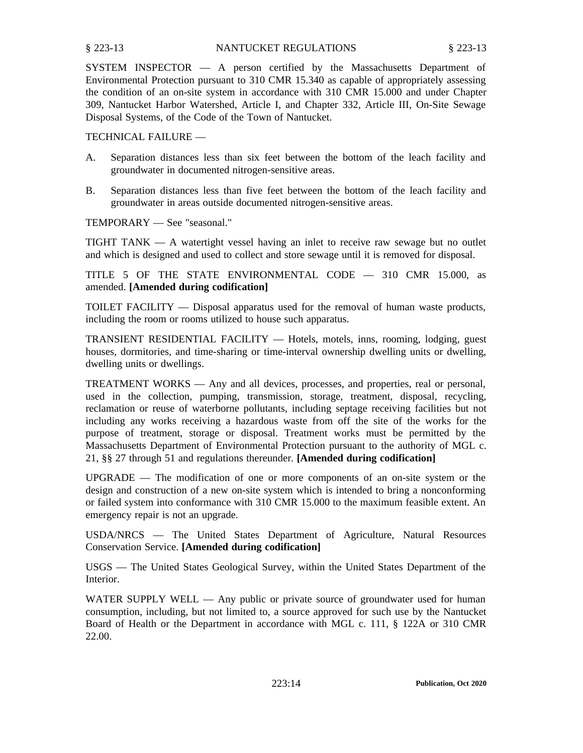# § 223-13 NANTUCKET REGULATIONS § 223-13

SYSTEM INSPECTOR — A person certified by the Massachusetts Department of Environmental Protection pursuan<sup>t</sup> to 310 CMR 15.340 as capable of appropriately assessing the condition of an on-site system in accordance with 310 CMR 15.000 and under Chapter 309, Nantucket Harbor Watershed, Article I, and Chapter 332, Article III, On-Site Sewage Disposal Systems, of the Code of the Town of Nantucket.

TECHNICAL FAILURE —

- A. Separation distances less than six feet between the bottom of the leach facility and groundwater in documented nitrogen-sensitive areas.
- B. Separation distances less than five feet between the bottom of the leach facility and groundwater in areas outside documented nitrogen-sensitive areas.

TEMPORARY — See "seasonal."

TIGHT TANK — A watertight vessel having an inlet to receive raw sewage but no outlet and which is designed and used to collect and store sewage until it is removed for disposal.

TITLE 5 OF THE STATE ENVIRONMENTAL CODE — 310 CMR 15.000, as amended. **[Amended during codification]**

TOILET FACILITY — Disposal apparatus used for the removal of human waste products, including the room or rooms utilized to house such apparatus.

TRANSIENT RESIDENTIAL FACILITY — Hotels, motels, inns, rooming, lodging, gues<sup>t</sup> houses, dormitories, and time-sharing or time-interval ownership dwelling units or dwelling, dwelling units or dwellings.

TREATMENT WORKS — Any and all devices, processes, and properties, real or personal, used in the collection, pumping, transmission, storage, treatment, disposal, recycling, reclamation or reuse of waterborne pollutants, including septage receiving facilities but not including any works receiving <sup>a</sup> hazardous waste from off the site of the works for the purpose of treatment, storage or disposal. Treatment works must be permitted by the Massachusetts Department of Environmental Protection pursuan<sup>t</sup> to the authority of MGL c. 21, §§ 27 through 51 and regulations thereunder. **[Amended during codification]**

UPGRADE — The modification of one or more components of an on-site system or the design and construction of <sup>a</sup> new on-site system which is intended to bring <sup>a</sup> nonconforming or failed system into conformance with 310 CMR 15.000 to the maximum feasible extent. An emergency repair is not an upgrade.

USDA/NRCS — The United States Department of Agriculture, Natural Resources Conservation Service. **[Amended during codification]**

USGS — The United States Geological Survey, within the United States Department of the Interior.

WATER SUPPLY WELL — Any public or private source of groundwater used for human consumption, including, but not limited to, <sup>a</sup> source approved for such use by the Nantucket Board of Health or the Department in accordance with MGL c. 111, § 122A or 310 CMR 22.00.